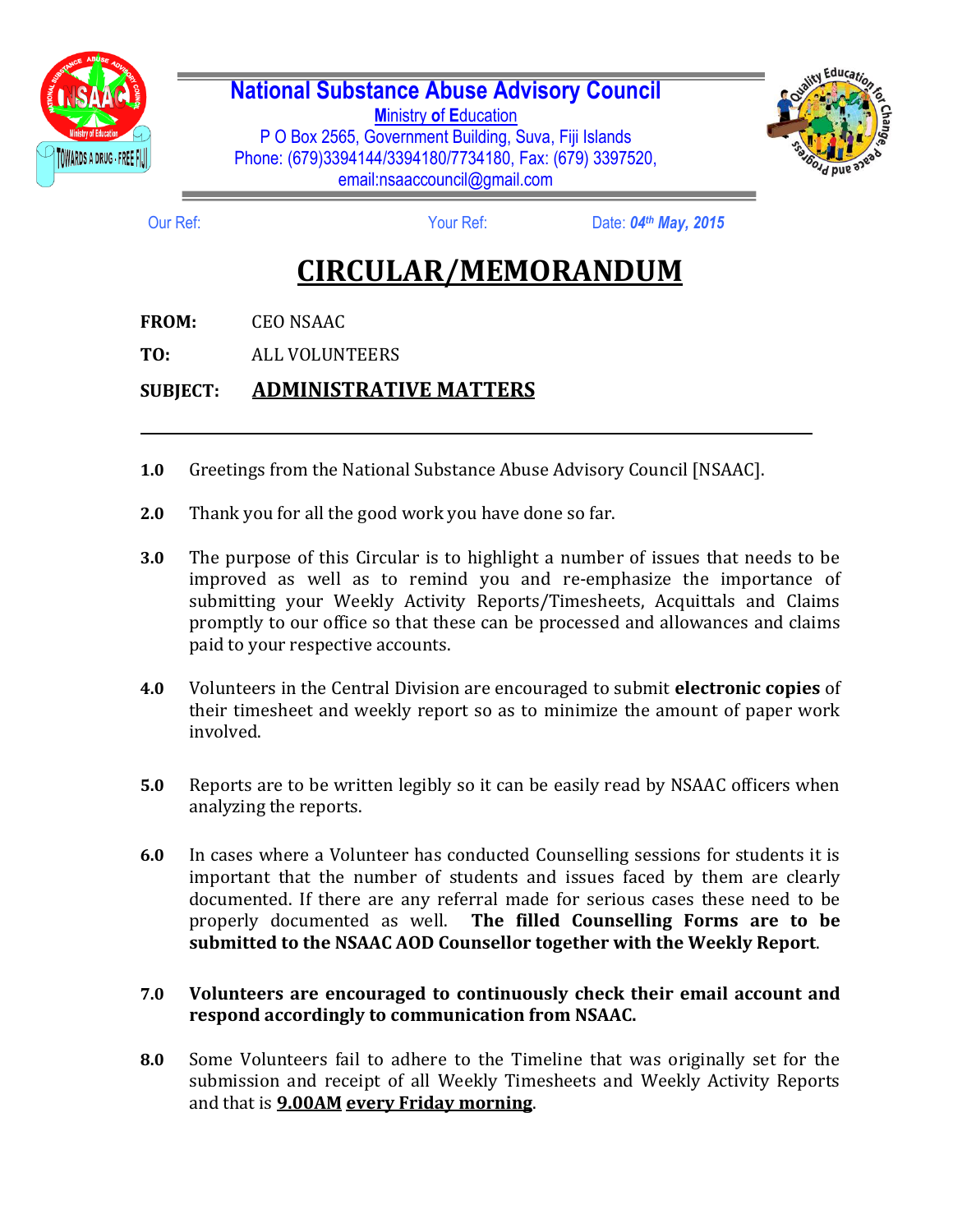

## **National Substance Abuse Advisory Council**

**M**inistry **o**f **E**ducation P O Box 2565, Government Building, Suva, Fiji Islands Phone: (679)3394144/3394180/7734180, Fax: (679) 3397520, email:nsaaccouncil@gmail.com



Our Ref: Your Ref: Date: *04th May, 2015*

## **CIRCULAR/MEMORANDUM**

**FROM:** CEO NSAAC

**TO:** ALL VOLUNTEERS

## **SUBJECT: ADMINISTRATIVE MATTERS**

- **1.0** Greetings from the National Substance Abuse Advisory Council [NSAAC].
- **2.0** Thank you for all the good work you have done so far.
- **3.0** The purpose of this Circular is to highlight a number of issues that needs to be improved as well as to remind you and re-emphasize the importance of submitting your Weekly Activity Reports/Timesheets, Acquittals and Claims promptly to our office so that these can be processed and allowances and claims paid to your respective accounts.
- **4.0** Volunteers in the Central Division are encouraged to submit **electronic copies** of their timesheet and weekly report so as to minimize the amount of paper work involved.
- **5.0** Reports are to be written legibly so it can be easily read by NSAAC officers when analyzing the reports.
- **6.0** In cases where a Volunteer has conducted Counselling sessions for students it is important that the number of students and issues faced by them are clearly documented. If there are any referral made for serious cases these need to be properly documented as well. **The filled Counselling Forms are to be submitted to the NSAAC AOD Counsellor together with the Weekly Report**.

## **7.0 Volunteers are encouraged to continuously check their email account and respond accordingly to communication from NSAAC.**

**8.0** Some Volunteers fail to adhere to the Timeline that was originally set for the submission and receipt of all Weekly Timesheets and Weekly Activity Reports and that is **9.00AM every Friday morning**.